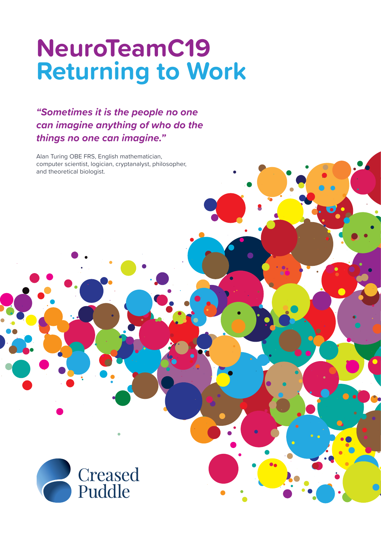# **NeuroTeamC19 Returning to Work**

### **"Sometimes it is the people no one can imagine anything of who do the things no one can imagine."**

Alan Turing OBE FRS, English mathematician, computer scientist, logician, cryptanalyst, philosopher, and theoretical biologist.

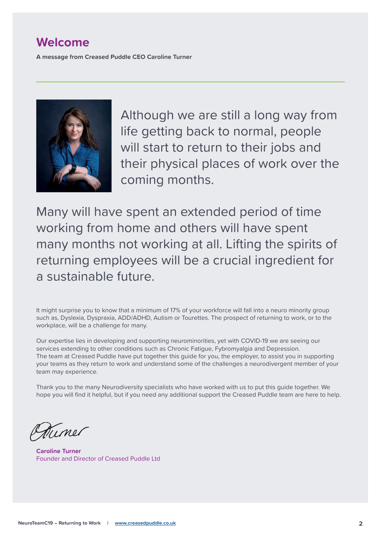### **Welcome**

**A message from Creased Puddle CEO Caroline Turner**



Although we are still a long way from life getting back to normal, people will start to return to their jobs and their physical places of work over the coming months.

Many will have spent an extended period of time working from home and others will have spent many months not working at all. Lifting the spirits of returning employees will be a crucial ingredient for a sustainable future.

It might surprise you to know that a minimum of 17% of your workforce will fall into a neuro minority group such as, Dyslexia, Dyspraxia, ADD/ADHD, Autism or Tourettes. The prospect of returning to work, or to the workplace, will be a challenge for many.

Our expertise lies in developing and supporting neurominorities, yet with COVID-19 we are seeing our services extending to other conditions such as Chronic Fatigue, Fybromyalgia and Depression. The team at Creased Puddle have put together this guide for you, the employer, to assist you in supporting your teams as they return to work and understand some of the challenges a neurodivergent member of your team may experience.

Thank you to the many Neurodiversity specialists who have worked with us to put this guide together. We hope you will find it helpful, but if you need any additional support the Creased Puddle team are here to help.

Timor

**Caroline Turner** Founder and Director of Creased Puddle Ltd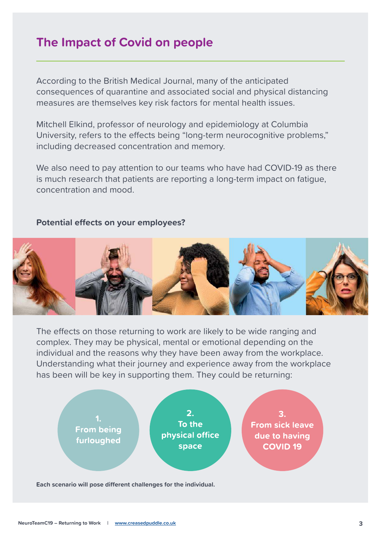## **The Impact of Covid on people**

According to the British Medical Journal, many of the anticipated consequences of quarantine and associated social and physical distancing measures are themselves key risk factors for mental health issues.

Mitchell Elkind, professor of neurology and epidemiology at Columbia University, refers to the effects being "long-term neurocognitive problems," including decreased concentration and memory.

We also need to pay attention to our teams who have had COVID-19 as there is much research that patients are reporting a long-term impact on fatigue, concentration and mood.

#### **Potential effects on your employees?**



The effects on those returning to work are likely to be wide ranging and complex. They may be physical, mental or emotional depending on the individual and the reasons why they have been away from the workplace. Understanding what their journey and experience away from the workplace has been will be key in supporting them. They could be returning:



**Each scenario will pose different challenges for the individual.**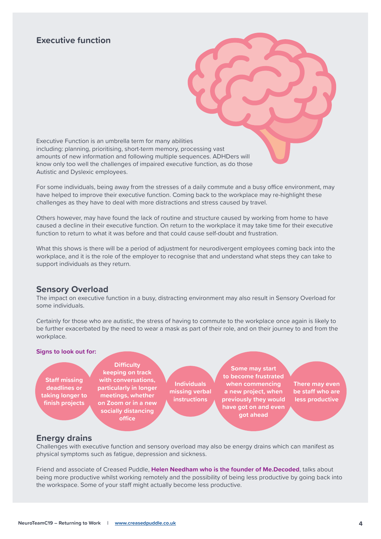### **Executive function**

Executive Function is an umbrella term for many abilities including: planning, prioritising, short-term memory, processing vast amounts of new information and following multiple sequences. ADHDers will know only too well the challenges of impaired executive function, as do those Autistic and Dyslexic employees.

For some individuals, being away from the stresses of a daily commute and a busy office environment, may have helped to improve their executive function. Coming back to the workplace may re-highlight these challenges as they have to deal with more distractions and stress caused by travel.

Others however, may have found the lack of routine and structure caused by working from home to have caused a decline in their executive function. On return to the workplace it may take time for their executive function to return to what it was before and that could cause self-doubt and frustration.

What this shows is there will be a period of adjustment for neurodivergent employees coming back into the workplace, and it is the role of the employer to recognise that and understand what steps they can take to support individuals as they return.

#### **Sensory Overload**

The impact on executive function in a busy, distracting environment may also result in Sensory Overload for some individuals.

Certainly for those who are autistic, the stress of having to commute to the workplace once again is likely to be further exacerbated by the need to wear a mask as part of their role, and on their journey to and from the workplace.

#### **Signs to look out for:**

**Staff missing deadlines or taking longer to finish projects** 

**Difficulty keeping on track with conversations, particularly in longer meetings, whether on Zoom or in a new socially distancing office**

**Individuals missing verbal instructions**

**Some may start to become frustrated when commencing a new project, when previously they would have got on and even got ahead**

**There may even be staff who are less productive**

#### **Energy drains**

Challenges with executive function and sensory overload may also be energy drains which can manifest as physical symptoms such as fatigue, depression and sickness.

Friend and associate of Creased Puddle, **Helen Needham who is the founder of Me.Decoded**, talks about being more productive whilst working remotely and the possibility of being less productive by going back into the workspace. Some of your staff might actually become less productive.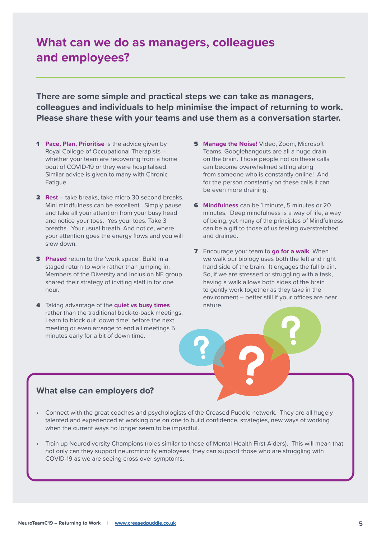## **What can we do as managers, colleagues and employees?**

**There are some simple and practical steps we can take as managers, colleagues and individuals to help minimise the impact of returning to work. Please share these with your teams and use them as a conversation starter.** 

- **1 Pace, Plan, Prioritise** is the advice given by Royal College of Occupational Therapists – whether your team are recovering from a home bout of COVID-19 or they were hospitalised. Similar advice is given to many with Chronic Fatigue.
- **2 Rest** take breaks, take micro 30 second breaks. Mini mindfulness can be excellent. Simply pause and take all your attention from your busy head and notice your toes. Yes your toes. Take 3 breaths. Your usual breath. And notice, where your attention goes the energy flows and you will slow down.
- 3 **Phased** return to the 'work space'. Build in a staged return to work rather than jumping in. Members of the Diversity and Inclusion NE group shared their strategy of inviting staff in for one hour.
- 4 Taking advantage of the **quiet vs busy times**  rather than the traditional back-to-back meetings. Learn to block out 'down time' before the next meeting or even arrange to end all meetings 5 minutes early for a bit of down time.
- **5 Manage the Noise!** Video, Zoom, Microsoft Teams, Googlehangouts are all a huge drain on the brain. Those people not on these calls can become overwhelmed sitting along from someone who is constantly online! And for the person constantly on these calls it can be even more draining.
- 6 **Mindfulness** can be 1 minute, 5 minutes or 20 minutes. Deep mindfulness is a way of life, a way of being, yet many of the principles of Mindfulness can be a gift to those of us feeling overstretched and drained.
- 7 Encourage your team to **go for a walk**. When we walk our biology uses both the left and right hand side of the brain. It engages the full brain. So, if we are stressed or struggling with a task, having a walk allows both sides of the brain to gently work together as they take in the environment – better still if your offices are near nature.

### **What else can employers do?**

- Connect with the great coaches and psychologists of the Creased Puddle network. They are all hugely talented and experienced at working one on one to build confidence, strategies, new ways of working when the current ways no longer seem to be impactful.
- Train up Neurodiversity Champions (roles similar to those of Mental Health First Aiders). This will mean that not only can they support neurominority employees, they can support those who are struggling with COVID-19 as we are seeing cross over symptoms.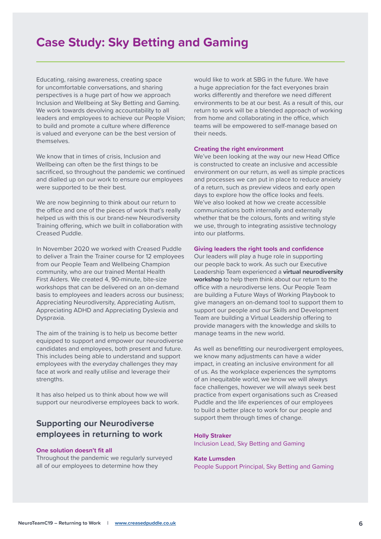## **Case Study: Sky Betting and Gaming**

Educating, raising awareness, creating space for uncomfortable conversations, and sharing perspectives is a huge part of how we approach Inclusion and Wellbeing at Sky Betting and Gaming. We work towards devolving accountability to all leaders and employees to achieve our People Vision; to build and promote a culture where difference is valued and everyone can be the best version of themselves.

We know that in times of crisis, Inclusion and Wellbeing can often be the first things to be sacrificed, so throughout the pandemic we continued and dialled up on our work to ensure our employees were supported to be their best.

We are now beginning to think about our return to the office and one of the pieces of work that's really helped us with this is our brand-new Neurodiversity Training offering, which we built in collaboration with Creased Puddle.

In November 2020 we worked with Creased Puddle to deliver a Train the Trainer course for 12 employees from our People Team and Wellbeing Champion community, who are our trained Mental Health First Aiders. We created 4, 90-minute, bite-size workshops that can be delivered on an on-demand basis to employees and leaders across our business; Appreciating Neurodiversity, Appreciating Autism, Appreciating ADHD and Appreciating Dyslexia and Dyspraxia.

The aim of the training is to help us become better equipped to support and empower our neurodiverse candidates and employees, both present and future. This includes being able to understand and support employees with the everyday challenges they may face at work and really utilise and leverage their strengths.

It has also helped us to think about how we will support our neurodiverse employees back to work.

### **Supporting our Neurodiverse employees in returning to work**

#### **One solution doesn't fit all**

Throughout the pandemic we regularly surveyed all of our employees to determine how they

would like to work at SBG in the future. We have a huge appreciation for the fact everyones brain works differently and therefore we need different environments to be at our best. As a result of this, our return to work will be a blended approach of working from home and collaborating in the office, which teams will be empowered to self-manage based on their needs.

#### **Creating the right environment**

We've been looking at the way our new Head Office is constructed to create an inclusive and accessible environment on our return, as well as simple practices and processes we can put in place to reduce anxiety of a return, such as preview videos and early open days to explore how the office looks and feels. We've also looked at how we create accessible communications both internally and externally whether that be the colours, fonts and writing style we use, through to integrating assistive technology into our platforms.

#### **Giving leaders the right tools and confidence**

Our leaders will play a huge role in supporting our people back to work. As such our Executive Leadership Team experienced a **virtual neurodiversity workshop** to help them think about our return to the office with a neurodiverse lens. Our People Team are building a Future Ways of Working Playbook to give managers an on-demand tool to support them to support our people and our Skills and Development Team are building a Virtual Leadership offering to provide managers with the knowledge and skills to manage teams in the new world.

As well as benefitting our neurodivergent employees, we know many adjustments can have a wider impact, in creating an inclusive environment for all of us. As the workplace experiences the symptoms of an inequitable world, we know we will always face challenges, however we will always seek best practice from expert organisations such as Creased Puddle and the life experiences of our employees to build a better place to work for our people and support them through times of change.

#### **Holly Straker** Inclusion Lead, Sky Betting and Gaming

#### **Kate Lumsden**

People Support Principal, Sky Betting and Gaming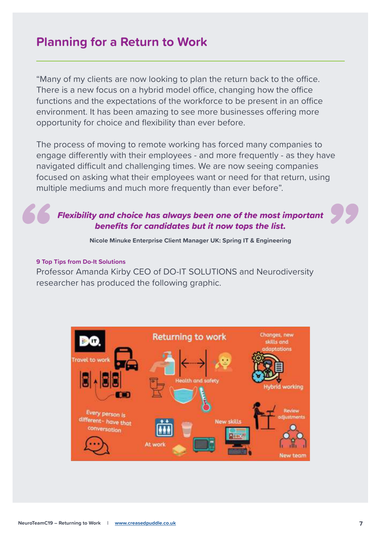### **Planning for a Return to Work**

"Many of my clients are now looking to plan the return back to the office. There is a new focus on a hybrid model office, changing how the office functions and the expectations of the workforce to be present in an office environment. It has been amazing to see more businesses offering more opportunity for choice and flexibility than ever before.

The process of moving to remote working has forced many companies to engage differently with their employees - and more frequently - as they have navigated difficult and challenging times. We are now seeing companies focused on asking what their employees want or need for that return, using multiple mediums and much more frequently than ever before".

### Flexibility and choice has always been one of the most important benefits for candidates but it now tops the list.

**Nicole Minuke Enterprise Client Manager UK: Spring IT & Engineering**

#### **9 Top Tips from Do-It Solutions**

Professor Amanda Kirby CEO of DO-IT SOLUTIONS and Neurodiversity researcher has produced the following graphic.

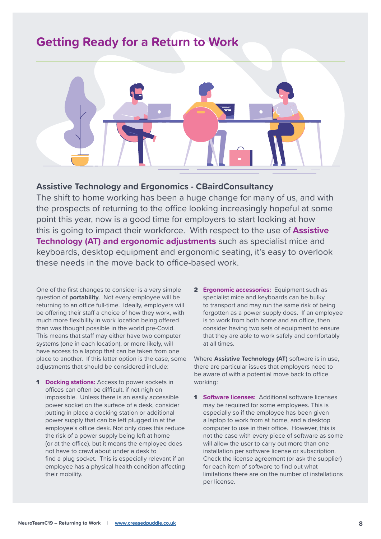### **Getting Ready for a Return to Work**



### **Assistive Technology and Ergonomics - CBairdConsultancy**

The shift to home working has been a huge change for many of us, and with the prospects of returning to the office looking increasingly hopeful at some point this year, now is a good time for employers to start looking at how this is going to impact their workforce. With respect to the use of **Assistive Technology (AT) and ergonomic adjustments** such as specialist mice and keyboards, desktop equipment and ergonomic seating, it's easy to overlook these needs in the move back to office-based work.

One of the first changes to consider is a very simple question of **portability**. Not every employee will be returning to an office full-time. Ideally, employers will be offering their staff a choice of how they work, with much more flexibility in work location being offered than was thought possible in the world pre-Covid. This means that staff may either have two computer systems (one in each location), or more likely, will have access to a laptop that can be taken from one place to another. If this latter option is the case, some adjustments that should be considered include:

- **1 Docking stations:** Access to power sockets in offices can often be difficult, if not nigh on impossible. Unless there is an easily accessible power socket on the surface of a desk, consider putting in place a docking station or additional power supply that can be left plugged in at the employee's office desk. Not only does this reduce the risk of a power supply being left at home (or at the office), but it means the employee does not have to crawl about under a desk to find a plug socket. This is especially relevant if an employee has a physical health condition affecting their mobility.
- 2 **Ergonomic accessories:** Equipment such as specialist mice and keyboards can be bulky to transport and may run the same risk of being forgotten as a power supply does. If an employee is to work from both home and an office, then consider having two sets of equipment to ensure that they are able to work safely and comfortably at all times.

Where **Assistive Technology (AT)** software is in use, there are particular issues that employers need to be aware of with a potential move back to office working:

1 **Software licenses:** Additional software licenses may be required for some employees. This is especially so if the employee has been given a laptop to work from at home, and a desktop computer to use in their office. However, this is not the case with every piece of software as some will allow the user to carry out more than one installation per software license or subscription. Check the license agreement (or ask the supplier) for each item of software to find out what limitations there are on the number of installations per license.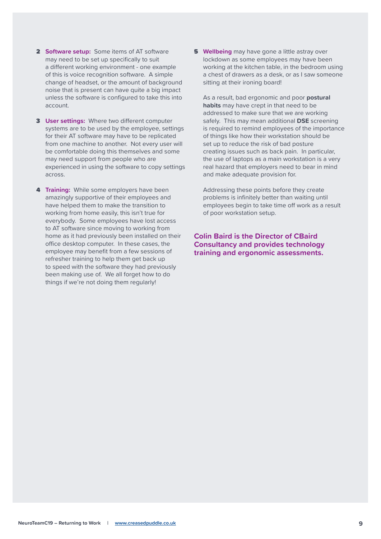- 2 **Software setup:** Some items of AT software may need to be set up specifically to suit a different working environment - one example of this is voice recognition software. A simple change of headset, or the amount of background noise that is present can have quite a big impact unless the software is configured to take this into account.
- 3 **User settings:** Where two different computer systems are to be used by the employee, settings for their AT software may have to be replicated from one machine to another. Not every user will be comfortable doing this themselves and some may need support from people who are experienced in using the software to copy settings across.
- **4 Training:** While some employers have been amazingly supportive of their employees and have helped them to make the transition to working from home easily, this isn't true for everybody. Some employees have lost access to AT software since moving to working from home as it had previously been installed on their office desktop computer. In these cases, the employee may benefit from a few sessions of refresher training to help them get back up to speed with the software they had previously been making use of. We all forget how to do things if we're not doing them regularly!

**5 Wellbeing** may have gone a little astray over lockdown as some employees may have been working at the kitchen table, in the bedroom using a chest of drawers as a desk, or as I saw someone sitting at their ironing board!

 As a result, bad ergonomic and poor **postural habits** may have crept in that need to be addressed to make sure that we are working safely. This may mean additional **DSE** screening is required to remind employees of the importance of things like how their workstation should be set up to reduce the risk of bad posture creating issues such as back pain. In particular, the use of laptops as a main workstation is a very real hazard that employers need to bear in mind and make adequate provision for.

 Addressing these points before they create problems is infinitely better than waiting until employees begin to take time off work as a result of poor workstation setup.

**Colin Baird is the Director of CBaird Consultancy and provides technology training and ergonomic assessments.**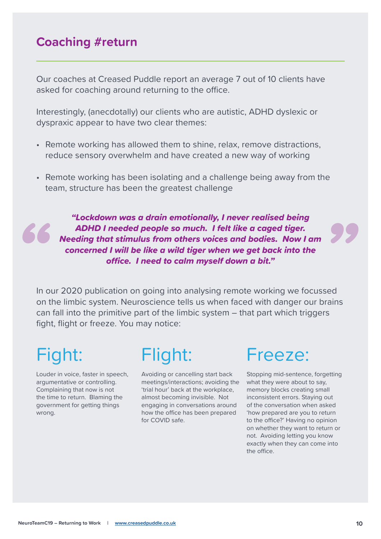### **Coaching #return**

Our coaches at Creased Puddle report an average 7 out of 10 clients have asked for coaching around returning to the office.

Interestingly, (anecdotally) our clients who are autistic, ADHD dyslexic or dyspraxic appear to have two clear themes:

- Remote working has allowed them to shine, relax, remove distractions, reduce sensory overwhelm and have created a new way of working
- Remote working has been isolating and a challenge being away from the team, structure has been the greatest challenge

"Lockdown was a drain emotionally, I never realised being ADHD I needed people so much. I felt like a caged tiger. Needing that stimulus from others voices and bodies. Now I am concerned I will be like a wild tiger when we get back into the office. I need to calm myself down a bit."

In our 2020 publication on going into analysing remote working we focussed on the limbic system. Neuroscience tells us when faced with danger our brains can fall into the primitive part of the limbic system – that part which triggers fight, flight or freeze. You may notice:

# Fight:

Louder in voice, faster in speech, argumentative or controlling. Complaining that now is not the time to return. Blaming the government for getting things wrong.

# Flight:

Avoiding or cancelling start back meetings/interactions; avoiding the 'trial hour' back at the workplace, almost becoming invisible. Not engaging in conversations around how the office has been prepared for COVID safe.

# Freeze:

Stopping mid-sentence, forgetting what they were about to say, memory blocks creating small inconsistent errors. Staying out of the conversation when asked 'how prepared are you to return to the office?' Having no opinion on whether they want to return or not. Avoiding letting you know exactly when they can come into the office.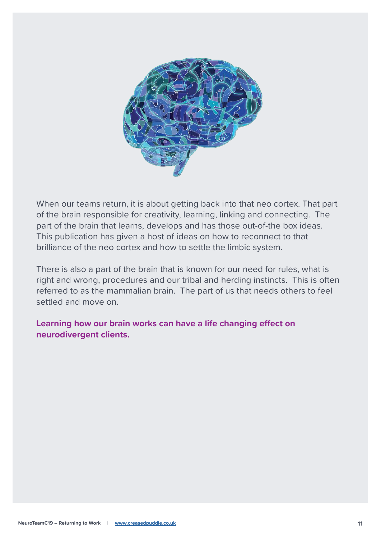

When our teams return, it is about getting back into that neo cortex. That part of the brain responsible for creativity, learning, linking and connecting. The part of the brain that learns, develops and has those out-of-the box ideas. This publication has given a host of ideas on how to reconnect to that brilliance of the neo cortex and how to settle the limbic system.

There is also a part of the brain that is known for our need for rules, what is right and wrong, procedures and our tribal and herding instincts. This is often referred to as the mammalian brain. The part of us that needs others to feel settled and move on.

**Learning how our brain works can have a life changing effect on neurodivergent clients.**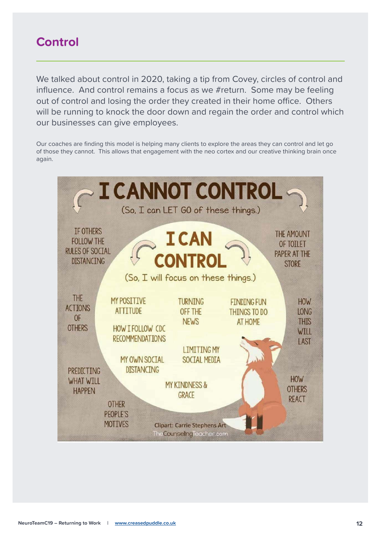### **Control**

We talked about control in 2020, taking a tip from Covey, circles of control and influence. And control remains a focus as we #return. Some may be feeling out of control and losing the order they created in their home office. Others will be running to knock the door down and regain the order and control which our businesses can give employees.

Our coaches are finding this model is helping many clients to explore the areas they can control and let go of those they cannot. This allows that engagement with the neo cortex and our creative thinking brain once again.

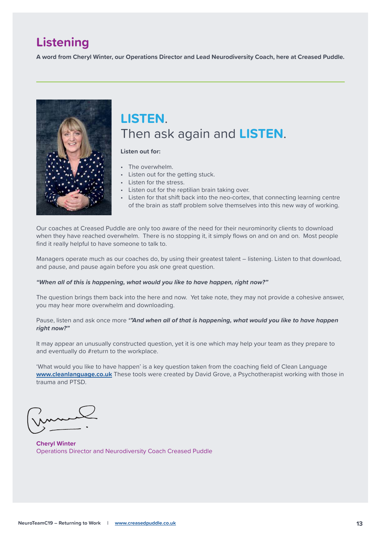# **Listening**

**A word from Cheryl Winter, our Operations Director and Lead Neurodiversity Coach, here at Creased Puddle.**



# **LISTEN**. Then ask again and **LISTEN**.

#### **Listen out for:**

- The overwhelm.
- Listen out for the getting stuck.
- Listen for the stress.
- Listen out for the reptilian brain taking over.
- Listen for that shift back into the neo-cortex, that connecting learning centre of the brain as staff problem solve themselves into this new way of working.

Our coaches at Creased Puddle are only too aware of the need for their neurominority clients to download when they have reached overwhelm. There is no stopping it, it simply flows on and on and on. Most people find it really helpful to have someone to talk to.

Managers operate much as our coaches do, by using their greatest talent – listening. Listen to that download, and pause, and pause again before you ask one great question.

#### **"When all of this is happening, what would you like to have happen, right now?"**

The question brings them back into the here and now. Yet take note, they may not provide a cohesive answer, you may hear more overwhelm and downloading.

#### Pause, listen and ask once more **'"And when all of that is happening, what would you like to have happen right now?"**

It may appear an unusually constructed question, yet it is one which may help your team as they prepare to and eventually do #return to the workplace.

'What would you like to have happen' is a key question taken from the coaching field of Clean Language **www.cleanlanguage.co.uk** These tools were created by David Grove, a Psychotherapist working with those in trauma and PTSD.

**Cheryl Winter** Operations Director and Neurodiversity Coach Creased Puddle